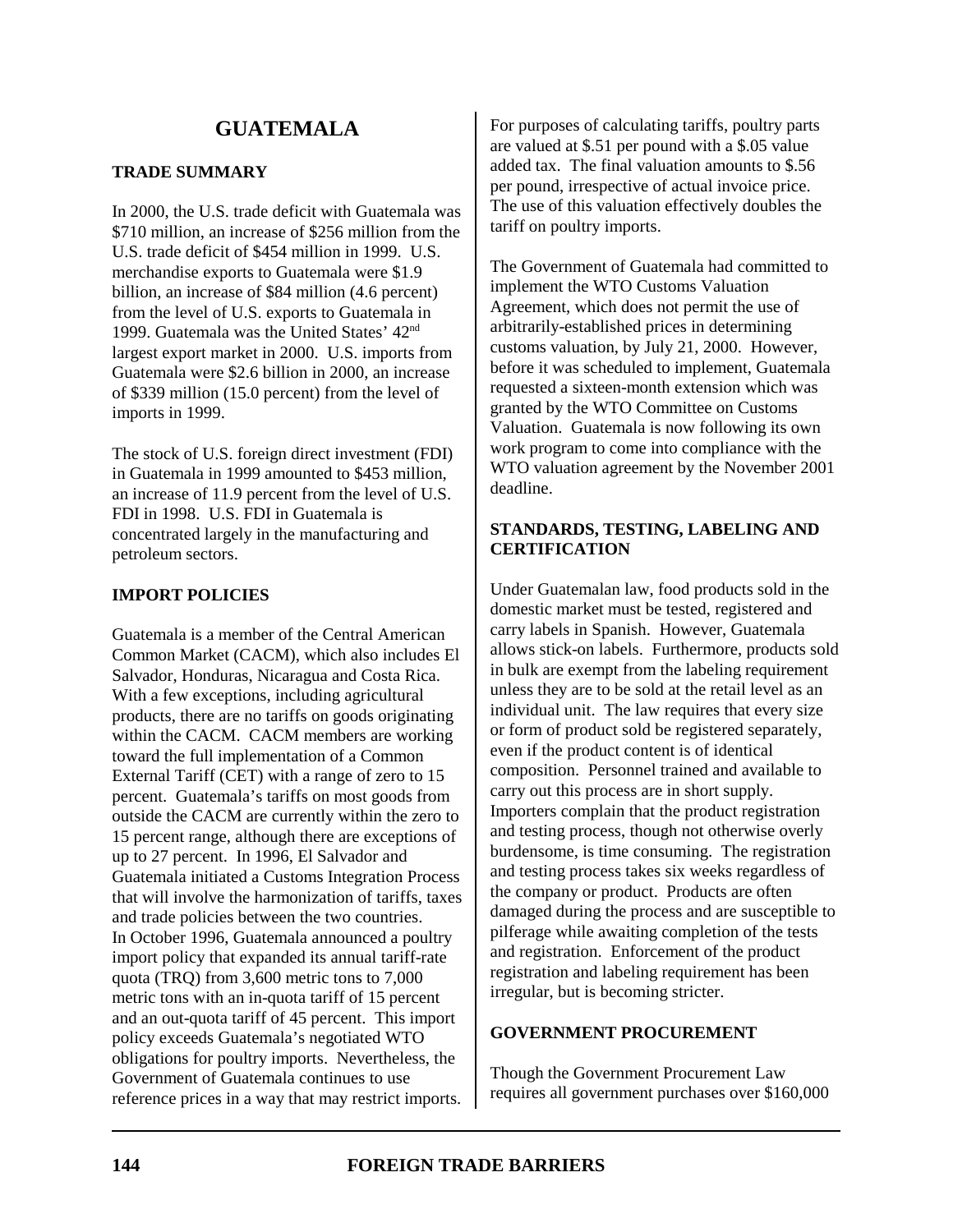# **GUATEMALA**

# **TRADE SUMMARY**

In 2000, the U.S. trade deficit with Guatemala was \$710 million, an increase of \$256 million from the U.S. trade deficit of \$454 million in 1999. U.S. merchandise exports to Guatemala were \$1.9 billion, an increase of \$84 million (4.6 percent) from the level of U.S. exports to Guatemala in 1999. Guatemala was the United States' 42nd largest export market in 2000. U.S. imports from Guatemala were \$2.6 billion in 2000, an increase of \$339 million (15.0 percent) from the level of imports in 1999.

The stock of U.S. foreign direct investment (FDI) in Guatemala in 1999 amounted to \$453 million, an increase of 11.9 percent from the level of U.S. FDI in 1998. U.S. FDI in Guatemala is concentrated largely in the manufacturing and petroleum sectors.

# **IMPORT POLICIES**

Guatemala is a member of the Central American Common Market (CACM), which also includes El Salvador, Honduras, Nicaragua and Costa Rica. With a few exceptions, including agricultural products, there are no tariffs on goods originating within the CACM. CACM members are working toward the full implementation of a Common External Tariff (CET) with a range of zero to 15 percent. Guatemala's tariffs on most goods from outside the CACM are currently within the zero to 15 percent range, although there are exceptions of up to 27 percent. In 1996, El Salvador and Guatemala initiated a Customs Integration Process that will involve the harmonization of tariffs, taxes and trade policies between the two countries. In October 1996, Guatemala announced a poultry import policy that expanded its annual tariff-rate quota (TRQ) from 3,600 metric tons to 7,000 metric tons with an in-quota tariff of 15 percent and an out-quota tariff of 45 percent. This import policy exceeds Guatemala's negotiated WTO obligations for poultry imports. Nevertheless, the Government of Guatemala continues to use reference prices in a way that may restrict imports. For purposes of calculating tariffs, poultry parts are valued at \$.51 per pound with a \$.05 value added tax. The final valuation amounts to \$.56 per pound, irrespective of actual invoice price. The use of this valuation effectively doubles the tariff on poultry imports.

The Government of Guatemala had committed to implement the WTO Customs Valuation Agreement, which does not permit the use of arbitrarily-established prices in determining customs valuation, by July 21, 2000. However, before it was scheduled to implement, Guatemala requested a sixteen-month extension which was granted by the WTO Committee on Customs Valuation. Guatemala is now following its own work program to come into compliance with the WTO valuation agreement by the November 2001 deadline.

# **STANDARDS, TESTING, LABELING AND CERTIFICATION**

Under Guatemalan law, food products sold in the domestic market must be tested, registered and carry labels in Spanish. However, Guatemala allows stick-on labels. Furthermore, products sold in bulk are exempt from the labeling requirement unless they are to be sold at the retail level as an individual unit. The law requires that every size or form of product sold be registered separately, even if the product content is of identical composition. Personnel trained and available to carry out this process are in short supply. Importers complain that the product registration and testing process, though not otherwise overly burdensome, is time consuming. The registration and testing process takes six weeks regardless of the company or product. Products are often damaged during the process and are susceptible to pilferage while awaiting completion of the tests and registration. Enforcement of the product registration and labeling requirement has been irregular, but is becoming stricter.

## **GOVERNMENT PROCUREMENT**

Though the Government Procurement Law requires all government purchases over \$160,000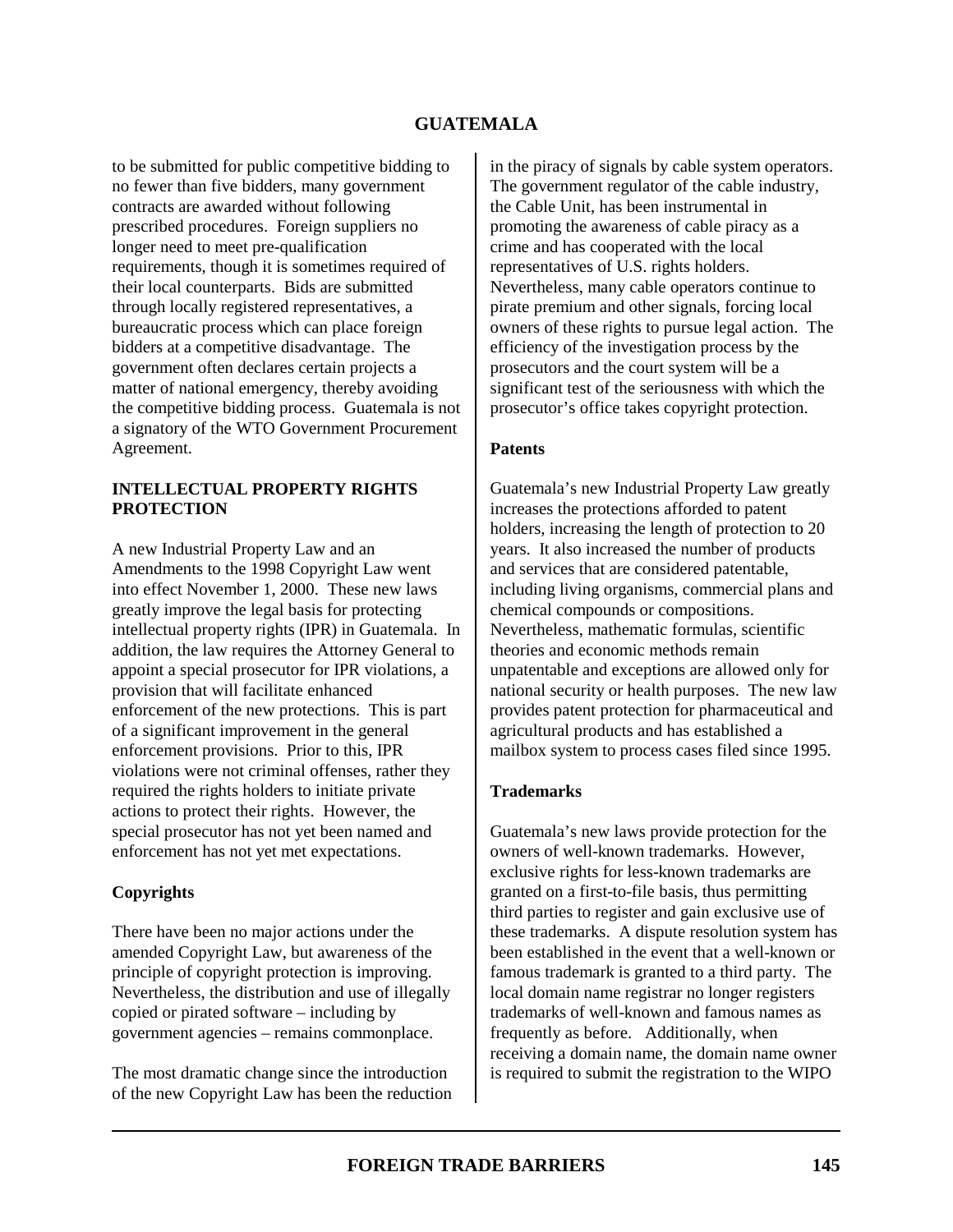# **GUATEMALA**

to be submitted for public competitive bidding to no fewer than five bidders, many government contracts are awarded without following prescribed procedures. Foreign suppliers no longer need to meet pre-qualification requirements, though it is sometimes required of their local counterparts. Bids are submitted through locally registered representatives, a bureaucratic process which can place foreign bidders at a competitive disadvantage. The government often declares certain projects a matter of national emergency, thereby avoiding the competitive bidding process. Guatemala is not a signatory of the WTO Government Procurement Agreement.

### **INTELLECTUAL PROPERTY RIGHTS PROTECTION**

A new Industrial Property Law and an Amendments to the 1998 Copyright Law went into effect November 1, 2000. These new laws greatly improve the legal basis for protecting intellectual property rights (IPR) in Guatemala. In addition, the law requires the Attorney General to appoint a special prosecutor for IPR violations, a provision that will facilitate enhanced enforcement of the new protections. This is part of a significant improvement in the general enforcement provisions. Prior to this, IPR violations were not criminal offenses, rather they required the rights holders to initiate private actions to protect their rights. However, the special prosecutor has not yet been named and enforcement has not yet met expectations.

## **Copyrights**

There have been no major actions under the amended Copyright Law, but awareness of the principle of copyright protection is improving. Nevertheless, the distribution and use of illegally copied or pirated software – including by government agencies – remains commonplace.

The most dramatic change since the introduction of the new Copyright Law has been the reduction in the piracy of signals by cable system operators. The government regulator of the cable industry, the Cable Unit, has been instrumental in promoting the awareness of cable piracy as a crime and has cooperated with the local representatives of U.S. rights holders. Nevertheless, many cable operators continue to pirate premium and other signals, forcing local owners of these rights to pursue legal action. The efficiency of the investigation process by the prosecutors and the court system will be a significant test of the seriousness with which the prosecutor's office takes copyright protection.

#### **Patents**

Guatemala's new Industrial Property Law greatly increases the protections afforded to patent holders, increasing the length of protection to 20 years. It also increased the number of products and services that are considered patentable, including living organisms, commercial plans and chemical compounds or compositions. Nevertheless, mathematic formulas, scientific theories and economic methods remain unpatentable and exceptions are allowed only for national security or health purposes. The new law provides patent protection for pharmaceutical and agricultural products and has established a mailbox system to process cases filed since 1995.

#### **Trademarks**

Guatemala's new laws provide protection for the owners of well-known trademarks. However, exclusive rights for less-known trademarks are granted on a first-to-file basis, thus permitting third parties to register and gain exclusive use of these trademarks. A dispute resolution system has been established in the event that a well-known or famous trademark is granted to a third party. The local domain name registrar no longer registers trademarks of well-known and famous names as frequently as before. Additionally, when receiving a domain name, the domain name owner is required to submit the registration to the WIPO